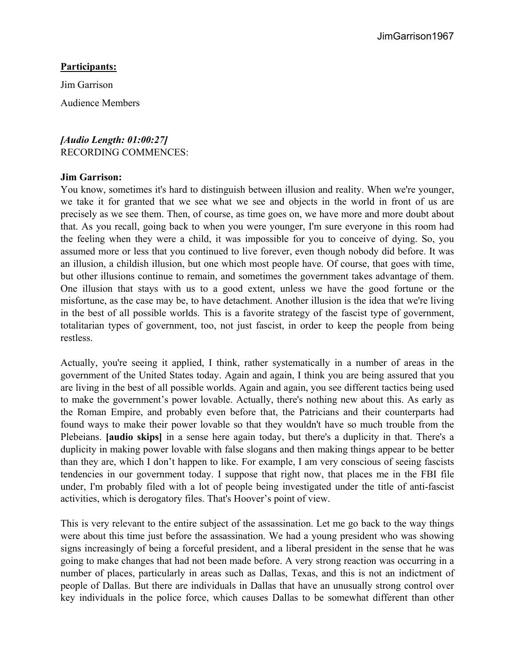## **Participants:**

Jim Garrison

Audience Members

*[Audio Length: 01:00:27]* RECORDING COMMENCES:

#### **Jim Garrison:**

You know, sometimes it's hard to distinguish between illusion and reality. When we're younger, we take it for granted that we see what we see and objects in the world in front of us are precisely as we see them. Then, of course, as time goes on, we have more and more doubt about that. As you recall, going back to when you were younger, I'm sure everyone in this room had the feeling when they were a child, it was impossible for you to conceive of dying. So, you assumed more or less that you continued to live forever, even though nobody did before. It was an illusion, a childish illusion, but one which most people have. Of course, that goes with time, but other illusions continue to remain, and sometimes the government takes advantage of them. One illusion that stays with us to a good extent, unless we have the good fortune or the misfortune, as the case may be, to have detachment. Another illusion is the idea that we're living in the best of all possible worlds. This is a favorite strategy of the fascist type of government, totalitarian types of government, too, not just fascist, in order to keep the people from being restless.

Actually, you're seeing it applied, I think, rather systematically in a number of areas in the government of the United States today. Again and again, I think you are being assured that you are living in the best of all possible worlds. Again and again, you see different tactics being used to make the government's power lovable. Actually, there's nothing new about this. As early as the Roman Empire, and probably even before that, the Patricians and their counterparts had found ways to make their power lovable so that they wouldn't have so much trouble from the Plebeians. **[audio skips]** in a sense here again today, but there's a duplicity in that. There's a duplicity in making power lovable with false slogans and then making things appear to be better than they are, which I don't happen to like. For example, I am very conscious of seeing fascists tendencies in our government today. I suppose that right now, that places me in the FBI file under, I'm probably filed with a lot of people being investigated under the title of anti-fascist activities, which is derogatory files. That's Hoover's point of view.

This is very relevant to the entire subject of the assassination. Let me go back to the way things were about this time just before the assassination. We had a young president who was showing signs increasingly of being a forceful president, and a liberal president in the sense that he was going to make changes that had not been made before. A very strong reaction was occurring in a number of places, particularly in areas such as Dallas, Texas, and this is not an indictment of people of Dallas. But there are individuals in Dallas that have an unusually strong control over key individuals in the police force, which causes Dallas to be somewhat different than other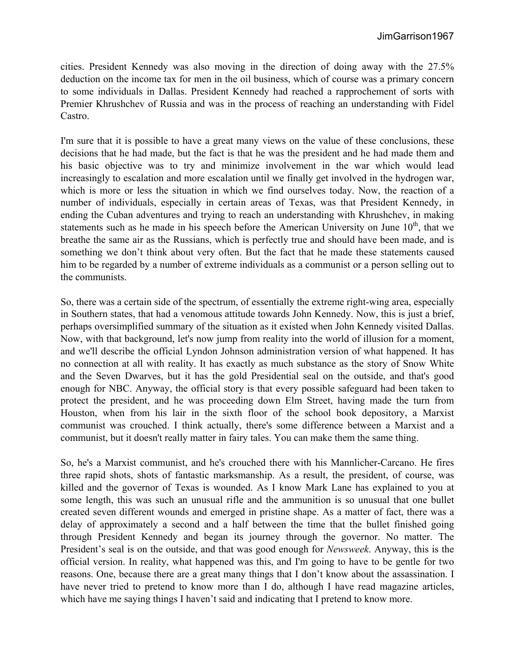cities. President Kennedy was also moving in the direction of doing away with the 27.5% deduction on the income tax for men in the oil business, which of course was a primary concern to some individuals in Dallas. President Kennedy had reached a rapprochement of sorts with Premier Khrushchev of Russia and was in the process of reaching an understanding with Fidel Castro.

I'm sure that it is possible to have a great many views on the value of these conclusions, these decisions that he had made, but the fact is that he was the president and he had made them and his basic objective was to try and minimize involvement in the war which would lead increasingly to escalation and more escalation until we finally get involved in the hydrogen war, which is more or less the situation in which we find ourselves today. Now, the reaction of a number of individuals, especially in certain areas of Texas, was that President Kennedy, in ending the Cuban adventures and trying to reach an understanding with Khrushchev, in making statements such as he made in his speech before the American University on June  $10<sup>th</sup>$ , that we breathe the same air as the Russians, which is perfectly true and should have been made, and is something we don't think about very often. But the fact that he made these statements caused him to be regarded by a number of extreme individuals as a communist or a person selling out to the communists.

So, there was a certain side of the spectrum, of essentially the extreme right-wing area, especially in Southern states, that had a venomous attitude towards John Kennedy. Now, this is just a brief, perhaps oversimplified summary of the situation as it existed when John Kennedy visited Dallas. Now, with that background, let's now jump from reality into the world of illusion for a moment, and we'll describe the official Lyndon Johnson administration version of what happened. It has no connection at all with reality. It has exactly as much substance as the story of Snow White and the Seven Dwarves, but it has the gold Presidential seal on the outside, and that's good enough for NBC. Anyway, the official story is that every possible safeguard had been taken to protect the president, and he was proceeding down Elm Street, having made the turn from Houston, when from his lair in the sixth floor of the school book depository, a Marxist communist was crouched. I think actually, there's some difference between a Marxist and a communist, but it doesn't really matter in fairy tales. You can make them the same thing.

So, he's a Marxist communist, and he's crouched there with his Mannlicher-Carcano. He fires three rapid shots, shots of fantastic marksmanship. As a result, the president, of course, was killed and the governor of Texas is wounded. As I know Mark Lane has explained to you at some length, this was such an unusual rifle and the ammunition is so unusual that one bullet created seven different wounds and emerged in pristine shape. As a matter of fact, there was a delay of approximately a second and a half between the time that the bullet finished going through President Kennedy and began its journey through the governor. No matter. The President's seal is on the outside, and that was good enough for *Newsweek*. Anyway, this is the official version. In reality, what happened was this, and I'm going to have to be gentle for two reasons. One, because there are a great many things that I don't know about the assassination. I have never tried to pretend to know more than I do, although I have read magazine articles, which have me saying things I haven't said and indicating that I pretend to know more.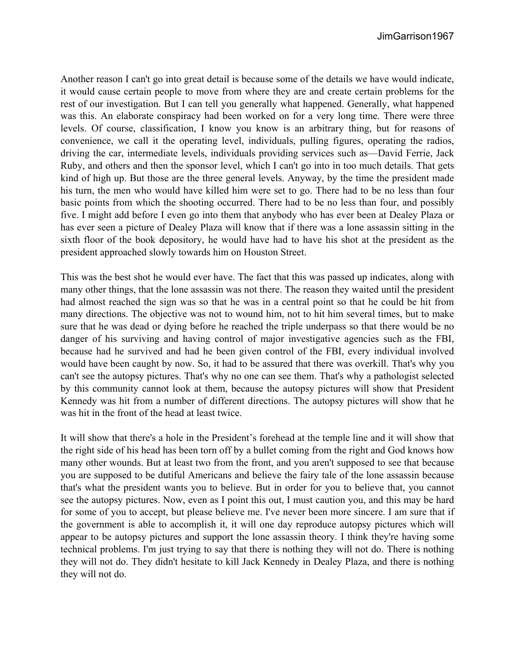Another reason I can't go into great detail is because some of the details we have would indicate, it would cause certain people to move from where they are and create certain problems for the rest of our investigation. But I can tell you generally what happened. Generally, what happened was this. An elaborate conspiracy had been worked on for a very long time. There were three levels. Of course, classification, I know you know is an arbitrary thing, but for reasons of convenience, we call it the operating level, individuals, pulling figures, operating the radios, driving the car, intermediate levels, individuals providing services such as—David Ferrie, Jack Ruby, and others and then the sponsor level, which I can't go into in too much details. That gets kind of high up. But those are the three general levels. Anyway, by the time the president made his turn, the men who would have killed him were set to go. There had to be no less than four basic points from which the shooting occurred. There had to be no less than four, and possibly five. I might add before I even go into them that anybody who has ever been at Dealey Plaza or has ever seen a picture of Dealey Plaza will know that if there was a lone assassin sitting in the sixth floor of the book depository, he would have had to have his shot at the president as the president approached slowly towards him on Houston Street.

This was the best shot he would ever have. The fact that this was passed up indicates, along with many other things, that the lone assassin was not there. The reason they waited until the president had almost reached the sign was so that he was in a central point so that he could be hit from many directions. The objective was not to wound him, not to hit him several times, but to make sure that he was dead or dying before he reached the triple underpass so that there would be no danger of his surviving and having control of major investigative agencies such as the FBI, because had he survived and had he been given control of the FBI, every individual involved would have been caught by now. So, it had to be assured that there was overkill. That's why you can't see the autopsy pictures. That's why no one can see them. That's why a pathologist selected by this community cannot look at them, because the autopsy pictures will show that President Kennedy was hit from a number of different directions. The autopsy pictures will show that he was hit in the front of the head at least twice.

It will show that there's a hole in the President's forehead at the temple line and it will show that the right side of his head has been torn off by a bullet coming from the right and God knows how many other wounds. But at least two from the front, and you aren't supposed to see that because you are supposed to be dutiful Americans and believe the fairy tale of the lone assassin because that's what the president wants you to believe. But in order for you to believe that, you cannot see the autopsy pictures. Now, even as I point this out, I must caution you, and this may be hard for some of you to accept, but please believe me. I've never been more sincere. I am sure that if the government is able to accomplish it, it will one day reproduce autopsy pictures which will appear to be autopsy pictures and support the lone assassin theory. I think they're having some technical problems. I'm just trying to say that there is nothing they will not do. There is nothing they will not do. They didn't hesitate to kill Jack Kennedy in Dealey Plaza, and there is nothing they will not do.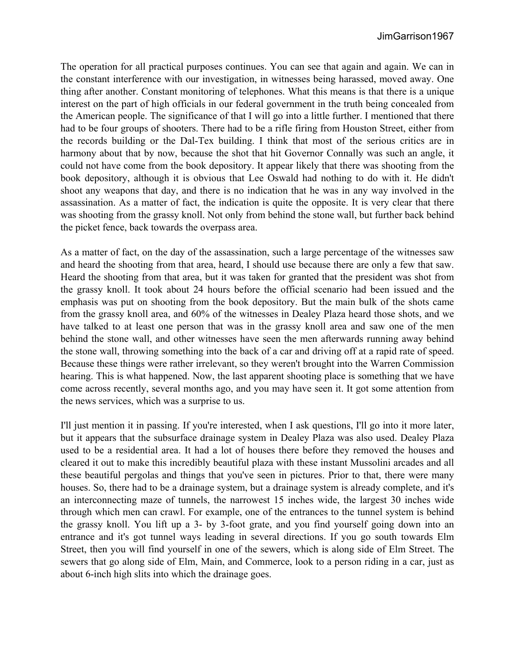The operation for all practical purposes continues. You can see that again and again. We can in the constant interference with our investigation, in witnesses being harassed, moved away. One thing after another. Constant monitoring of telephones. What this means is that there is a unique interest on the part of high officials in our federal government in the truth being concealed from the American people. The significance of that I will go into a little further. I mentioned that there had to be four groups of shooters. There had to be a rifle firing from Houston Street, either from the records building or the Dal-Tex building. I think that most of the serious critics are in harmony about that by now, because the shot that hit Governor Connally was such an angle, it could not have come from the book depository. It appear likely that there was shooting from the book depository, although it is obvious that Lee Oswald had nothing to do with it. He didn't shoot any weapons that day, and there is no indication that he was in any way involved in the assassination. As a matter of fact, the indication is quite the opposite. It is very clear that there was shooting from the grassy knoll. Not only from behind the stone wall, but further back behind the picket fence, back towards the overpass area.

As a matter of fact, on the day of the assassination, such a large percentage of the witnesses saw and heard the shooting from that area, heard, I should use because there are only a few that saw. Heard the shooting from that area, but it was taken for granted that the president was shot from the grassy knoll. It took about 24 hours before the official scenario had been issued and the emphasis was put on shooting from the book depository. But the main bulk of the shots came from the grassy knoll area, and 60% of the witnesses in Dealey Plaza heard those shots, and we have talked to at least one person that was in the grassy knoll area and saw one of the men behind the stone wall, and other witnesses have seen the men afterwards running away behind the stone wall, throwing something into the back of a car and driving off at a rapid rate of speed. Because these things were rather irrelevant, so they weren't brought into the Warren Commission hearing. This is what happened. Now, the last apparent shooting place is something that we have come across recently, several months ago, and you may have seen it. It got some attention from the news services, which was a surprise to us.

I'll just mention it in passing. If you're interested, when I ask questions, I'll go into it more later, but it appears that the subsurface drainage system in Dealey Plaza was also used. Dealey Plaza used to be a residential area. It had a lot of houses there before they removed the houses and cleared it out to make this incredibly beautiful plaza with these instant Mussolini arcades and all these beautiful pergolas and things that you've seen in pictures. Prior to that, there were many houses. So, there had to be a drainage system, but a drainage system is already complete, and it's an interconnecting maze of tunnels, the narrowest 15 inches wide, the largest 30 inches wide through which men can crawl. For example, one of the entrances to the tunnel system is behind the grassy knoll. You lift up a 3- by 3-foot grate, and you find yourself going down into an entrance and it's got tunnel ways leading in several directions. If you go south towards Elm Street, then you will find yourself in one of the sewers, which is along side of Elm Street. The sewers that go along side of Elm, Main, and Commerce, look to a person riding in a car, just as about 6-inch high slits into which the drainage goes.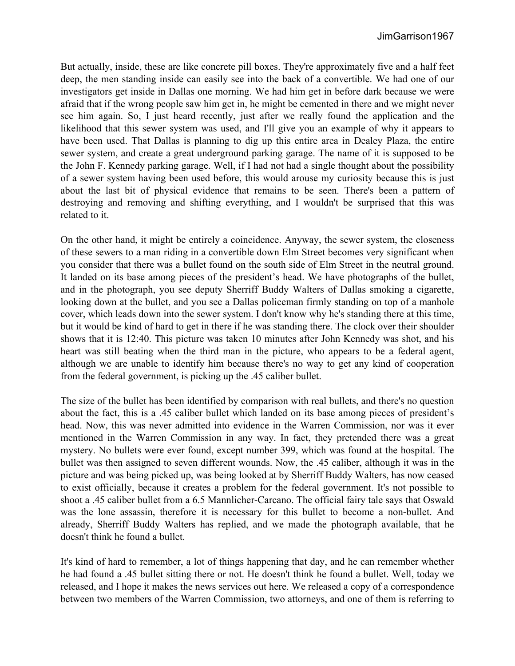But actually, inside, these are like concrete pill boxes. They're approximately five and a half feet deep, the men standing inside can easily see into the back of a convertible. We had one of our investigators get inside in Dallas one morning. We had him get in before dark because we were afraid that if the wrong people saw him get in, he might be cemented in there and we might never see him again. So, I just heard recently, just after we really found the application and the likelihood that this sewer system was used, and I'll give you an example of why it appears to have been used. That Dallas is planning to dig up this entire area in Dealey Plaza, the entire sewer system, and create a great underground parking garage. The name of it is supposed to be the John F. Kennedy parking garage. Well, if I had not had a single thought about the possibility of a sewer system having been used before, this would arouse my curiosity because this is just about the last bit of physical evidence that remains to be seen. There's been a pattern of destroying and removing and shifting everything, and I wouldn't be surprised that this was related to it.

On the other hand, it might be entirely a coincidence. Anyway, the sewer system, the closeness of these sewers to a man riding in a convertible down Elm Street becomes very significant when you consider that there was a bullet found on the south side of Elm Street in the neutral ground. It landed on its base among pieces of the president's head. We have photographs of the bullet, and in the photograph, you see deputy Sherriff Buddy Walters of Dallas smoking a cigarette, looking down at the bullet, and you see a Dallas policeman firmly standing on top of a manhole cover, which leads down into the sewer system. I don't know why he's standing there at this time, but it would be kind of hard to get in there if he was standing there. The clock over their shoulder shows that it is 12:40. This picture was taken 10 minutes after John Kennedy was shot, and his heart was still beating when the third man in the picture, who appears to be a federal agent, although we are unable to identify him because there's no way to get any kind of cooperation from the federal government, is picking up the .45 caliber bullet.

The size of the bullet has been identified by comparison with real bullets, and there's no question about the fact, this is a .45 caliber bullet which landed on its base among pieces of president's head. Now, this was never admitted into evidence in the Warren Commission, nor was it ever mentioned in the Warren Commission in any way. In fact, they pretended there was a great mystery. No bullets were ever found, except number 399, which was found at the hospital. The bullet was then assigned to seven different wounds. Now, the .45 caliber, although it was in the picture and was being picked up, was being looked at by Sherriff Buddy Walters, has now ceased to exist officially, because it creates a problem for the federal government. It's not possible to shoot a .45 caliber bullet from a 6.5 Mannlicher-Carcano. The official fairy tale says that Oswald was the lone assassin, therefore it is necessary for this bullet to become a non-bullet. And already, Sherriff Buddy Walters has replied, and we made the photograph available, that he doesn't think he found a bullet.

It's kind of hard to remember, a lot of things happening that day, and he can remember whether he had found a .45 bullet sitting there or not. He doesn't think he found a bullet. Well, today we released, and I hope it makes the news services out here. We released a copy of a correspondence between two members of the Warren Commission, two attorneys, and one of them is referring to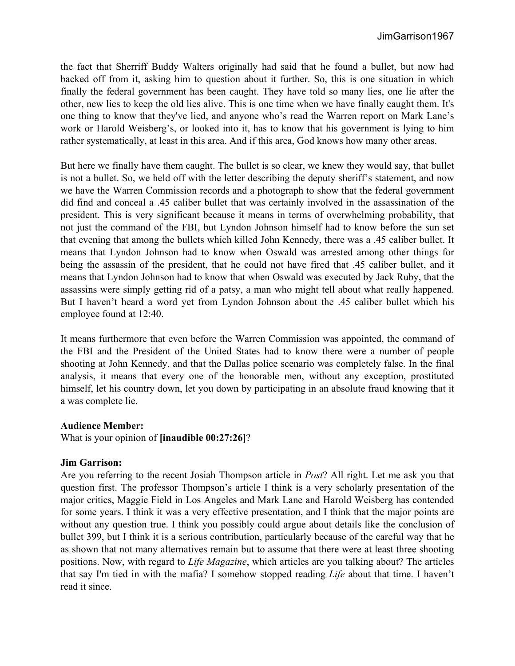the fact that Sherriff Buddy Walters originally had said that he found a bullet, but now had backed off from it, asking him to question about it further. So, this is one situation in which finally the federal government has been caught. They have told so many lies, one lie after the other, new lies to keep the old lies alive. This is one time when we have finally caught them. It's one thing to know that they've lied, and anyone who's read the Warren report on Mark Lane's work or Harold Weisberg's, or looked into it, has to know that his government is lying to him rather systematically, at least in this area. And if this area, God knows how many other areas.

But here we finally have them caught. The bullet is so clear, we knew they would say, that bullet is not a bullet. So, we held off with the letter describing the deputy sheriff's statement, and now we have the Warren Commission records and a photograph to show that the federal government did find and conceal a .45 caliber bullet that was certainly involved in the assassination of the president. This is very significant because it means in terms of overwhelming probability, that not just the command of the FBI, but Lyndon Johnson himself had to know before the sun set that evening that among the bullets which killed John Kennedy, there was a .45 caliber bullet. It means that Lyndon Johnson had to know when Oswald was arrested among other things for being the assassin of the president, that he could not have fired that .45 caliber bullet, and it means that Lyndon Johnson had to know that when Oswald was executed by Jack Ruby, that the assassins were simply getting rid of a patsy, a man who might tell about what really happened. But I haven't heard a word yet from Lyndon Johnson about the .45 caliber bullet which his employee found at 12:40.

It means furthermore that even before the Warren Commission was appointed, the command of the FBI and the President of the United States had to know there were a number of people shooting at John Kennedy, and that the Dallas police scenario was completely false. In the final analysis, it means that every one of the honorable men, without any exception, prostituted himself, let his country down, let you down by participating in an absolute fraud knowing that it a was complete lie.

## **Audience Member:**

What is your opinion of **[inaudible 00:27:26]**?

## **Jim Garrison:**

Are you referring to the recent Josiah Thompson article in *Post*? All right. Let me ask you that question first. The professor Thompson's article I think is a very scholarly presentation of the major critics, Maggie Field in Los Angeles and Mark Lane and Harold Weisberg has contended for some years. I think it was a very effective presentation, and I think that the major points are without any question true. I think you possibly could argue about details like the conclusion of bullet 399, but I think it is a serious contribution, particularly because of the careful way that he as shown that not many alternatives remain but to assume that there were at least three shooting positions. Now, with regard to *Life Magazine*, which articles are you talking about? The articles that say I'm tied in with the mafia? I somehow stopped reading *Life* about that time. I haven't read it since.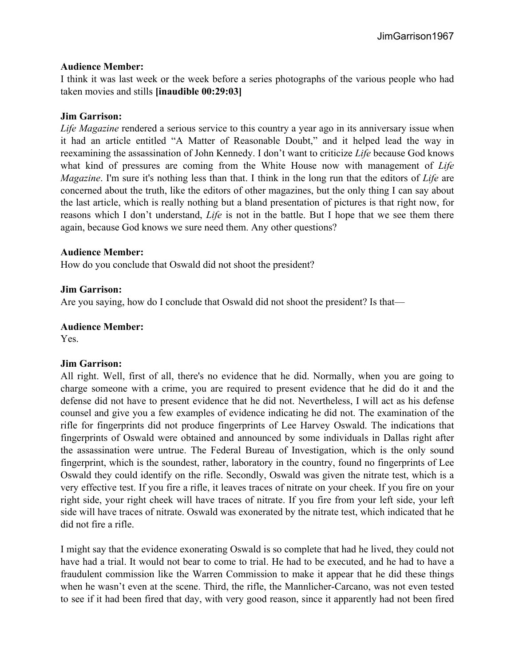# **Audience Member:**

I think it was last week or the week before a series photographs of the various people who had taken movies and stills **[inaudible 00:29:03]**

# **Jim Garrison:**

*Life Magazine* rendered a serious service to this country a year ago in its anniversary issue when it had an article entitled "A Matter of Reasonable Doubt," and it helped lead the way in reexamining the assassination of John Kennedy. I don't want to criticize *Life* because God knows what kind of pressures are coming from the White House now with management of *Life Magazine*. I'm sure it's nothing less than that. I think in the long run that the editors of *Life* are concerned about the truth, like the editors of other magazines, but the only thing I can say about the last article, which is really nothing but a bland presentation of pictures is that right now, for reasons which I don't understand, *Life* is not in the battle. But I hope that we see them there again, because God knows we sure need them. Any other questions?

## **Audience Member:**

How do you conclude that Oswald did not shoot the president?

# **Jim Garrison:**

Are you saying, how do I conclude that Oswald did not shoot the president? Is that—

# **Audience Member:**

Yes.

## **Jim Garrison:**

All right. Well, first of all, there's no evidence that he did. Normally, when you are going to charge someone with a crime, you are required to present evidence that he did do it and the defense did not have to present evidence that he did not. Nevertheless, I will act as his defense counsel and give you a few examples of evidence indicating he did not. The examination of the rifle for fingerprints did not produce fingerprints of Lee Harvey Oswald. The indications that fingerprints of Oswald were obtained and announced by some individuals in Dallas right after the assassination were untrue. The Federal Bureau of Investigation, which is the only sound fingerprint, which is the soundest, rather, laboratory in the country, found no fingerprints of Lee Oswald they could identify on the rifle. Secondly, Oswald was given the nitrate test, which is a very effective test. If you fire a rifle, it leaves traces of nitrate on your cheek. If you fire on your right side, your right cheek will have traces of nitrate. If you fire from your left side, your left side will have traces of nitrate. Oswald was exonerated by the nitrate test, which indicated that he did not fire a rifle.

I might say that the evidence exonerating Oswald is so complete that had he lived, they could not have had a trial. It would not bear to come to trial. He had to be executed, and he had to have a fraudulent commission like the Warren Commission to make it appear that he did these things when he wasn't even at the scene. Third, the rifle, the Mannlicher-Carcano, was not even tested to see if it had been fired that day, with very good reason, since it apparently had not been fired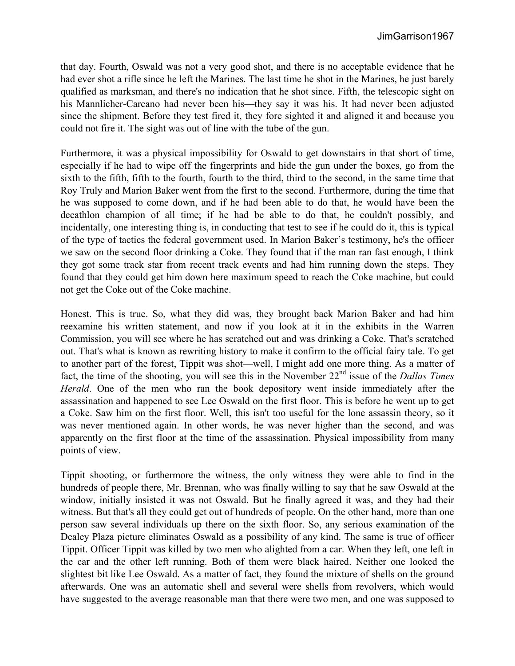that day. Fourth, Oswald was not a very good shot, and there is no acceptable evidence that he had ever shot a rifle since he left the Marines. The last time he shot in the Marines, he just barely qualified as marksman, and there's no indication that he shot since. Fifth, the telescopic sight on his Mannlicher-Carcano had never been his—they say it was his. It had never been adjusted since the shipment. Before they test fired it, they fore sighted it and aligned it and because you could not fire it. The sight was out of line with the tube of the gun.

Furthermore, it was a physical impossibility for Oswald to get downstairs in that short of time, especially if he had to wipe off the fingerprints and hide the gun under the boxes, go from the sixth to the fifth, fifth to the fourth, fourth to the third, third to the second, in the same time that Roy Truly and Marion Baker went from the first to the second. Furthermore, during the time that he was supposed to come down, and if he had been able to do that, he would have been the decathlon champion of all time; if he had be able to do that, he couldn't possibly, and incidentally, one interesting thing is, in conducting that test to see if he could do it, this is typical of the type of tactics the federal government used. In Marion Baker's testimony, he's the officer we saw on the second floor drinking a Coke. They found that if the man ran fast enough, I think they got some track star from recent track events and had him running down the steps. They found that they could get him down here maximum speed to reach the Coke machine, but could not get the Coke out of the Coke machine.

Honest. This is true. So, what they did was, they brought back Marion Baker and had him reexamine his written statement, and now if you look at it in the exhibits in the Warren Commission, you will see where he has scratched out and was drinking a Coke. That's scratched out. That's what is known as rewriting history to make it confirm to the official fairy tale. To get to another part of the forest, Tippit was shot—well, I might add one more thing. As a matter of fact, the time of the shooting, you will see this in the November 22<sup>nd</sup> issue of the *Dallas Times Herald*. One of the men who ran the book depository went inside immediately after the assassination and happened to see Lee Oswald on the first floor. This is before he went up to get a Coke. Saw him on the first floor. Well, this isn't too useful for the lone assassin theory, so it was never mentioned again. In other words, he was never higher than the second, and was apparently on the first floor at the time of the assassination. Physical impossibility from many points of view.

Tippit shooting, or furthermore the witness, the only witness they were able to find in the hundreds of people there, Mr. Brennan, who was finally willing to say that he saw Oswald at the window, initially insisted it was not Oswald. But he finally agreed it was, and they had their witness. But that's all they could get out of hundreds of people. On the other hand, more than one person saw several individuals up there on the sixth floor. So, any serious examination of the Dealey Plaza picture eliminates Oswald as a possibility of any kind. The same is true of officer Tippit. Officer Tippit was killed by two men who alighted from a car. When they left, one left in the car and the other left running. Both of them were black haired. Neither one looked the slightest bit like Lee Oswald. As a matter of fact, they found the mixture of shells on the ground afterwards. One was an automatic shell and several were shells from revolvers, which would have suggested to the average reasonable man that there were two men, and one was supposed to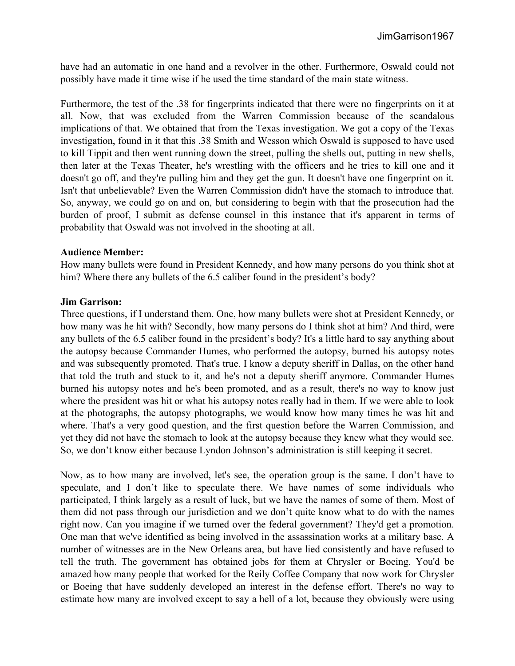have had an automatic in one hand and a revolver in the other. Furthermore, Oswald could not possibly have made it time wise if he used the time standard of the main state witness.

Furthermore, the test of the .38 for fingerprints indicated that there were no fingerprints on it at all. Now, that was excluded from the Warren Commission because of the scandalous implications of that. We obtained that from the Texas investigation. We got a copy of the Texas investigation, found in it that this .38 Smith and Wesson which Oswald is supposed to have used to kill Tippit and then went running down the street, pulling the shells out, putting in new shells, then later at the Texas Theater, he's wrestling with the officers and he tries to kill one and it doesn't go off, and they're pulling him and they get the gun. It doesn't have one fingerprint on it. Isn't that unbelievable? Even the Warren Commission didn't have the stomach to introduce that. So, anyway, we could go on and on, but considering to begin with that the prosecution had the burden of proof, I submit as defense counsel in this instance that it's apparent in terms of probability that Oswald was not involved in the shooting at all.

#### **Audience Member:**

How many bullets were found in President Kennedy, and how many persons do you think shot at him? Where there any bullets of the 6.5 caliber found in the president's body?

#### **Jim Garrison:**

Three questions, if I understand them. One, how many bullets were shot at President Kennedy, or how many was he hit with? Secondly, how many persons do I think shot at him? And third, were any bullets of the 6.5 caliber found in the president's body? It's a little hard to say anything about the autopsy because Commander Humes, who performed the autopsy, burned his autopsy notes and was subsequently promoted. That's true. I know a deputy sheriff in Dallas, on the other hand that told the truth and stuck to it, and he's not a deputy sheriff anymore. Commander Humes burned his autopsy notes and he's been promoted, and as a result, there's no way to know just where the president was hit or what his autopsy notes really had in them. If we were able to look at the photographs, the autopsy photographs, we would know how many times he was hit and where. That's a very good question, and the first question before the Warren Commission, and yet they did not have the stomach to look at the autopsy because they knew what they would see. So, we don't know either because Lyndon Johnson's administration is still keeping it secret.

Now, as to how many are involved, let's see, the operation group is the same. I don't have to speculate, and I don't like to speculate there. We have names of some individuals who participated, I think largely as a result of luck, but we have the names of some of them. Most of them did not pass through our jurisdiction and we don't quite know what to do with the names right now. Can you imagine if we turned over the federal government? They'd get a promotion. One man that we've identified as being involved in the assassination works at a military base. A number of witnesses are in the New Orleans area, but have lied consistently and have refused to tell the truth. The government has obtained jobs for them at Chrysler or Boeing. You'd be amazed how many people that worked for the Reily Coffee Company that now work for Chrysler or Boeing that have suddenly developed an interest in the defense effort. There's no way to estimate how many are involved except to say a hell of a lot, because they obviously were using